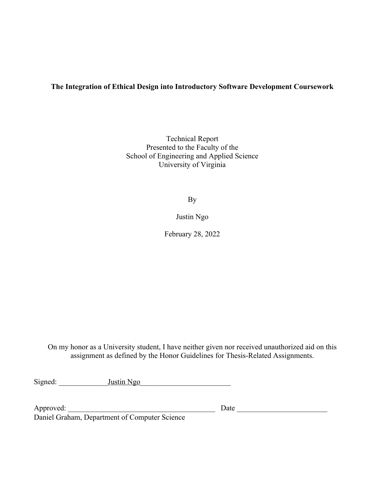# **The Integration of Ethical Design into Introductory Software Development Coursework**

Technical Report Presented to the Faculty of the School of Engineering and Applied Science University of Virginia

By

Justin Ngo

February 28, 2022

On my honor as a University student, I have neither given nor received unauthorized aid on this assignment as defined by the Honor Guidelines for Thesis-Related Assignments.

Signed: \_\_\_\_\_\_\_\_\_\_\_\_\_Justin Ngo\_\_\_\_\_\_\_\_\_\_\_\_\_\_\_\_\_\_\_\_\_\_\_\_

Approved: \_\_\_\_\_\_\_\_\_\_\_\_\_\_\_\_\_\_\_\_\_\_\_\_\_\_\_\_\_\_\_\_\_\_\_\_\_\_\_ Date \_\_\_\_\_\_\_\_\_\_\_\_\_\_\_\_\_\_\_\_\_\_\_\_

Daniel Graham, Department of Computer Science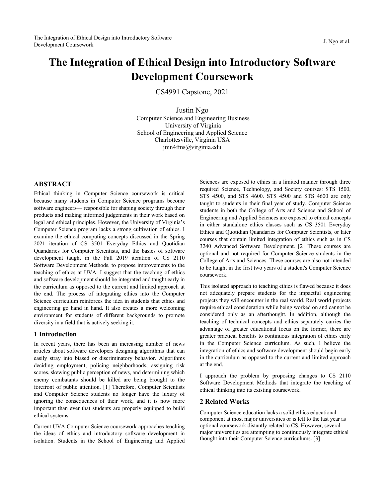# **The Integration of Ethical Design into Introductory Software Development Coursework**

CS4991 Capstone, 2021

Justin Ngo Computer Science and Engineering Business University of Virginia School of Engineering and Applied Science Charlottesville, Virginia USA jmn4fms@virginia.edu

# **ABSTRACT**

Ethical thinking in Computer Science coursework is critical because many students in Computer Science programs become software engineers— responsible for shaping society through their products and making informed judgements in their work based on legal and ethical principles. However, the University of Virginia's Computer Science program lacks a strong cultivation of ethics. I examine the ethical computing concepts discussed in the Spring 2021 iteration of CS 3501 Everyday Ethics and Quotidian Quandaries for Computer Scientists, and the basics of software development taught in the Fall 2019 iteration of CS 2110 Software Development Methods, to propose improvements to the teaching of ethics at UVA. I suggest that the teaching of ethics and software development should be integrated and taught early in the curriculum as opposed to the current and limited approach at the end. The process of integrating ethics into the Computer Science curriculum reinforces the idea in students that ethics and engineering go hand in hand. It also creates a more welcoming environment for students of different backgrounds to promote diversity in a field that is actively seeking it.

#### **1 Introduction**

In recent years, there has been an increasing number of news articles about software developers designing algorithms that can easily stray into biased or discriminatory behavior. Algorithms deciding employment, policing neighborhoods, assigning risk scores, skewing public perception of news, and determining which enemy combatants should be killed are being brought to the forefront of public attention. [1] Therefore, Computer Scientists and Computer Science students no longer have the luxury of ignoring the consequences of their work, and it is now more important than ever that students are properly equipped to build ethical systems.

Current UVA Computer Science coursework approaches teaching the ideas of ethics and introductory software development in isolation. Students in the School of Engineering and Applied Sciences are exposed to ethics in a limited manner through three required Science, Technology, and Society courses: STS 1500, STS 4500, and STS 4600. STS 4500 and STS 4600 are only taught to students in their final year of study. Computer Science students in both the College of Arts and Science and School of Engineering and Applied Sciences are exposed to ethical concepts in either standalone ethics classes such as CS 3501 Everyday Ethics and Quotidian Quandaries for Computer Scientists, or later courses that contain limited integration of ethics such as in CS 3240 Advanced Software Development. [2] These courses are optional and not required for Computer Science students in the College of Arts and Sciences. These courses are also not intended to be taught in the first two years of a student's Computer Science coursework.

This isolated approach to teaching ethics is flawed because it does not adequately prepare students for the impactful engineering projects they will encounter in the real world. Real world projects require ethical consideration while being worked on and cannot be considered only as an afterthought. In addition, although the teaching of technical concepts and ethics separately carries the advantage of greater educational focus on the former, there are greater practical benefits to continuous integration of ethics early in the Computer Science curriculum. As such, I believe the integration of ethics and software development should begin early in the curriculum as opposed to the current and limited approach at the end.

I approach the problem by proposing changes to CS 2110 Software Development Methods that integrate the teaching of ethical thinking into its existing coursework.

#### **2 Related Works**

Computer Science education lacks a solid ethics educational component at most major universities or is left to the last year as optional coursework distantly related to CS. However, several major universities are attempting to continuously integrate ethical thought into their Computer Science curriculums. [3]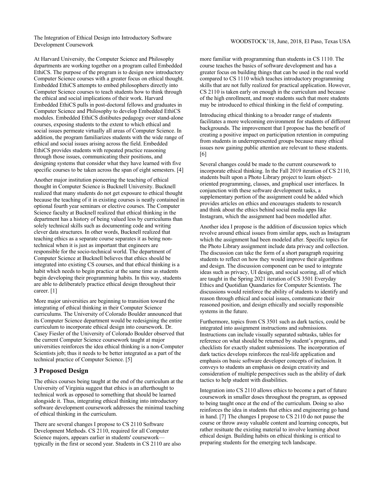The Integration of Ethical Design into Introductory Software nic megianon of Euncal Design mo muoductory Software<br>Development Coursework Development Coursework

At Harvard University, the Computer Science and Philosophy departments are working together on a program called Embedded EthiCS. The purpose of the program is to design new introductory Computer Science courses with a greater focus on ethical thought. Embedded EthiCS attempts to embed philosophers directly into Computer Science courses to teach students how to think through the ethical and social implications of their work. Harvard Embedded EthiCS pulls in post-doctoral fellows and graduates in Computer Science and Philosophy to develop Embedded EthiCS modules. Embedded EthiCS distibutes pedagogy over stand-alone courses, exposing students to the extent to which ethical and social issues permeate virtually all areas of Computer Science. In addition, the program familiarizes students with the wide range of ethical and social issues arising across the field. Embedded EthiCS provides students with repeated practice reasoning through those issues, communicating their positions, and designing systems that consider what they have learned with five specific courses to be taken across the span of eight semesters. [4]

Another major institution pioneering the teaching of ethical thought in Computer Science is Bucknell University. Bucknell realized that many students do not get exposure to ethical thought because the teaching of it in existing courses is neatly contained in optional fourth year seminars or elective courses. The Computer Science faculty at Bucknell realized that ethical thinking in the department has a history of being valued less by curriculums than solely technical skills such as documenting code and writing clever data structures. In other words, Bucknell realized that teaching ethics as a separate course separates it as being nontechnical when it is just as important that engineers are responsible for the socio-technical world. The department of Computer Science at Bucknell believes that ethics should be integrated into existing CS courses, and that ethical thinking is a habit which needs to begin practice at the same time as students begin developing their programming habits. In this way, students are able to deliberately practice ethical design throughout their career. [1]

More major universities are beginning to transition toward the integrating of ethical thinking in their Computer Science curriculums. The University of Colorado Boulder announced that its Computer Science department would be redesigning the entire curriculum to incorporate ethical design into coursework. Dr. Casey Fiesler of the University of Colorado Boulder observed that the current Computer Science coursework taught at major universities reinforces the idea ethical thinking is a non-Computer Scientists job; thus it needs to be better integrated as a part of the technical practice of Computer Science. [5]

#### **3 Proposed Design**

The ethics courses being taught at the end of the curriculum at the University of Virginia suggest that ethics is an afterthought to technical work as opposed to something that should be learned alongside it. Thus, integrating ethical thinking into introductory software development coursework addresses the minimal teaching of ethical thinking in the curriculum.

There are several changes I propose to CS 2110 Software Development Methods. CS 2110, required for all Computer Science majors, appears earlier in students' coursework typically in the first or second year. Students in CS 2110 are also

more familiar with programming than students in CS 1110. The course teaches the basics of software development and has a greater focus on building things that can be used in the real world compared to CS 1110 which teaches introductory programming skills that are not fully realized for practical application. However, CS 2110 is taken early on enough in the curriculum and because of the high enrollment, and more students such that more students may be introduced to ethical thinking in the field of computing.

Introducing ethical thinking to a broader range of students facilitates a more welcoming environment for students of different backgrounds. The improvement that I propose has the benefit of creating a positive impact on participation retention in computing from students in underrepresented groups because many ethical issues now gaining public attention are relevant to these students. [6]

Several changes could be made to the current coursework to incorporate ethical thinking. In the Fall 2019 iteration of CS 2110, students built upon a Photo Library project to learn objectoriented programming, classes, and graphical user interfaces. In conjunction with these software development tasks, a supplementary portion of the assignment could be added which provides articles on ethics and encourages students to research and think about the ethics behind social media apps like Instagram, which the assignment had been modelled after.

Another idea I propose is the addition of discussion topics which revolve around ethical issues from similar apps, such as Instagram which the assignment had been modeled after. Specific topics for the Photo Library assignment include data privacy and collection. The discussion can take the form of a short paragraph requiring students to reflect on how they would improve their algorithms and design. The discussion component can be used to integrate ideas such as privacy, UI design, and social scoring, all of which are taught in the Spring 2021 iteration of CS 3501 Everyday Ethics and Quotidian Quandaries for Computer Scientists. The discussions would reinforce the ability of students to identify and reason through ethical and social issues, communicate their reasoned position, and design ethically and socially responsible systems in the future.

Furthermore, topics from CS 3501 such as dark tactics, could be integrated into assignment instructions and submissions. Instructions can include visually separated subtasks, tables for reference on what should be returned by student's programs, and checklists for exactly student submissions. The incorporation of dark tactics develops reinforces the real-life application and emphasis on basic software developer concepts of inclusion. It conveys to students an emphasis on design creativity and consideration of multiple perspectives such as the ability of dark tactics to help student with disabilities.

Integration into CS 2110 allows ethics to become a part of future coursework in smaller doses throughout the program, as opposed to being taught once at the end of the curriculum. Doing so also reinforces the idea in students that ethics and engineering go hand in hand. [7] The changes I propose to CS 2110 do not pause the course or throw away valuable content and learning concepts, but rather resituate the existing material to involve learning about ethical design. Building habits on ethical thinking is critical to preparing students for the emerging tech landscape.